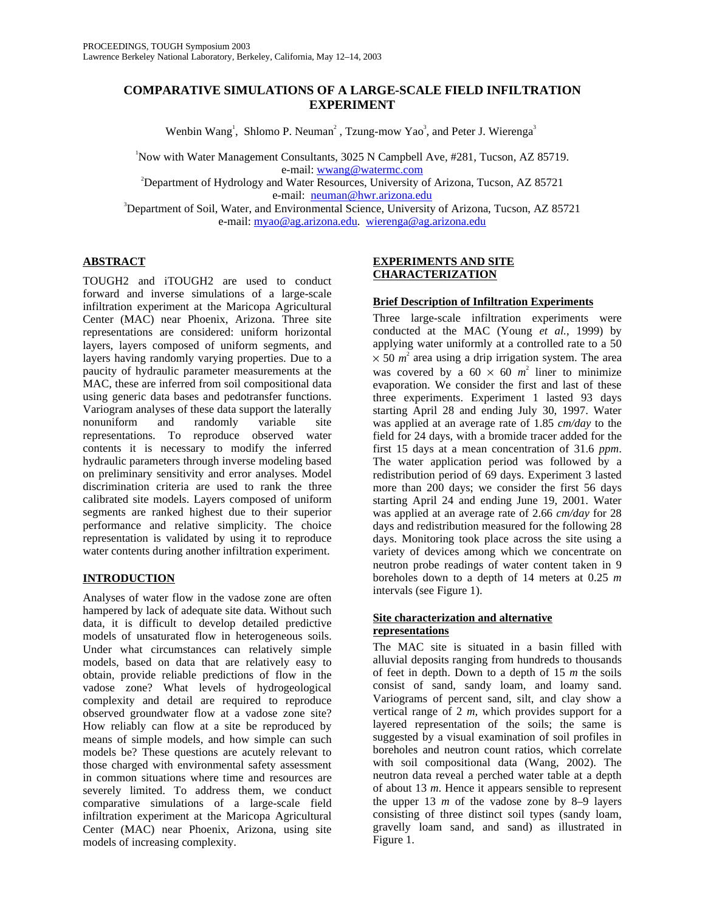# **COMPARATIVE SIMULATIONS OF A LARGE-SCALE FIELD INFILTRATION EXPERIMENT**

Wenbin Wang<sup>1</sup>, Shlomo P. Neuman<sup>2</sup>, Tzung-mow Yao<sup>3</sup>, and Peter J. Wierenga<sup>3</sup>

1 Now with Water Management Consultants, 3025 N Campbell Ave, #281, Tucson, AZ 85719.

e-mail: wwang@watermc.com e-mail: e-mail: wwang@watermc.com <br><sup>2</sup>Department of Hydrology and Water Resources, University of Arizona, Tucson, AZ 85721

e-mail: neuman@hwr.arizona.edu<br>Department of Soil, Water, and Environmental Science, University of Arizona, Tucson, AZ 85721<sup>3</sup> e-mail: myao@ag.arizona.edu. wierenga@ag.arizona.edu

### **ABSTRACT**

TOUGH2 and iTOUGH2 are used to conduct forward and inverse simulations of a large-scale infiltration experiment at the Maricopa Agricultural Center (MAC) near Phoenix, Arizona. Three site representations are considered: uniform horizontal layers, layers composed of uniform segments, and layers having randomly varying properties. Due to a paucity of hydraulic parameter measurements at the MAC, these are inferred from soil compositional data using generic data bases and pedotransfer functions. Variogram analyses of these data support the laterally nonuniform and randomly variable site representations. To reproduce observed water contents it is necessary to modify the inferred hydraulic parameters through inverse modeling based on preliminary sensitivity and error analyses. Model discrimination criteria are used to rank the three calibrated site models. Layers composed of uniform segments are ranked highest due to their superior performance and relative simplicity. The choice representation is validated by using it to reproduce water contents during another infiltration experiment.

## **INTRODUCTION**

Analyses of water flow in the vadose zone are often hampered by lack of adequate site data. Without such data, it is difficult to develop detailed predictive models of unsaturated flow in heterogeneous soils. Under what circumstances can relatively simple models, based on data that are relatively easy to obtain, provide reliable predictions of flow in the vadose zone? What levels of hydrogeological complexity and detail are required to reproduce observed groundwater flow at a vadose zone site? How reliably can flow at a site be reproduced by means of simple models, and how simple can such models be? These questions are acutely relevant to those charged with environmental safety assessment in common situations where time and resources are severely limited. To address them, we conduct comparative simulations of a large-scale field infiltration experiment at the Maricopa Agricultural Center (MAC) near Phoenix, Arizona, using site models of increasing complexity.

### **EXPERIMENTS AND SITE CHARACTERIZATION**

### **Brief Description of Infiltration Experiments**

Three large-scale infiltration experiments were conducted at the MAC (Young *et al.*, 1999) by applying water uniformly at a controlled rate to a 50  $\times$  50  $m^2$  area using a drip irrigation system. The area was covered by a  $60 \times 60$   $m^2$  liner to minimize evaporation. We consider the first and last of these three experiments. Experiment 1 lasted 93 days starting April 28 and ending July 30, 1997. Water was applied at an average rate of 1.85 *cm/day* to the field for 24 days, with a bromide tracer added for the first 15 days at a mean concentration of 31.6 *ppm*. The water application period was followed by a redistribution period of 69 days. Experiment 3 lasted more than 200 days; we consider the first 56 days starting April 24 and ending June 19, 2001. Water was applied at an average rate of 2.66 *cm/day* for 28 days and redistribution measured for the following 28 days. Monitoring took place across the site using a variety of devices among which we concentrate on neutron probe readings of water content taken in 9 boreholes down to a depth of 14 meters at 0.25 *m* intervals (see Figure 1).

## **Site characterization and alternative representations**

The MAC site is situated in a basin filled with alluvial deposits ranging from hundreds to thousands of feet in depth. Down to a depth of 15 *m* the soils consist of sand, sandy loam, and loamy sand. Variograms of percent sand, silt, and clay show a vertical range of 2 *m*, which provides support for a layered representation of the soils; the same is suggested by a visual examination of soil profiles in boreholes and neutron count ratios, which correlate with soil compositional data (Wang, 2002). The neutron data reveal a perched water table at a depth of about 13 *m*. Hence it appears sensible to represent the upper 13  $m$  of the vadose zone by 8–9 layers consisting of three distinct soil types (sandy loam, gravelly loam sand, and sand) as illustrated in Figure 1.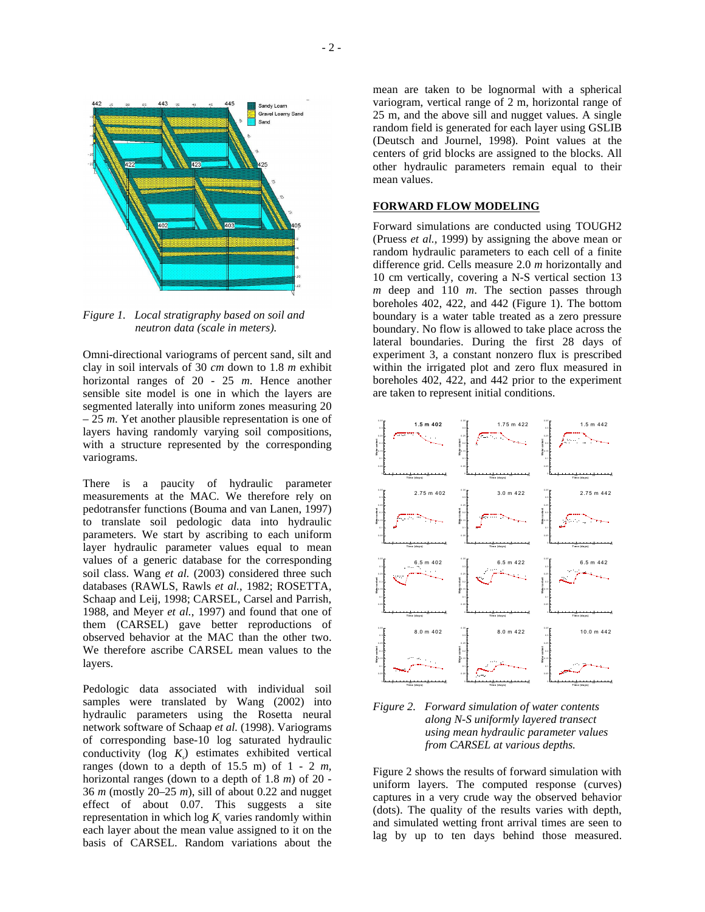

*Figure 1. Local stratigraphy based on soil and neutron data (scale in meters).* 

Omni-directional variograms of percent sand, silt and clay in soil intervals of 30 *cm* down to 1.8 *m* exhibit horizontal ranges of 20 - 25 *m*. Hence another sensible site model is one in which the layers are segmented laterally into uniform zones measuring 20 – 25 *m*. Yet another plausible representation is one of layers having randomly varying soil compositions, with a structure represented by the corresponding variograms.

There is a paucity of hydraulic parameter measurements at the MAC. We therefore rely on pedotransfer functions (Bouma and van Lanen, 1997) to translate soil pedologic data into hydraulic parameters. We start by ascribing to each uniform layer hydraulic parameter values equal to mean values of a generic database for the corresponding soil class. Wang *et al.* (2003) considered three such databases (RAWLS, Rawls *et al.*, 1982; ROSETTA, Schaap and Leij, 1998; CARSEL, Carsel and Parrish, 1988, and Meyer *et al.*, 1997) and found that one of them (CARSEL) gave better reproductions of observed behavior at the MAC than the other two. We therefore ascribe CARSEL mean values to the layers.

Pedologic data associated with individual soil samples were translated by Wang (2002) into hydraulic parameters using the Rosetta neural network software of Schaap *et al.* (1998). Variograms of corresponding base-10 log saturated hydraulic conductivity ( $log K_s$ ) estimates exhibited vertical ranges (down to a depth of 15.5 m) of 1 - 2 *m*, horizontal ranges (down to a depth of 1.8 *m*) of 20 - 36 *m* (mostly 20–25 *m*), sill of about 0.22 and nugget effect of about 0.07. This suggests a site representation in which  $\log K_s$  varies randomly within each layer about the mean value assigned to it on the basis of CARSEL. Random variations about the

mean are taken to be lognormal with a spherical variogram, vertical range of 2 m, horizontal range of 25 m, and the above sill and nugget values. A single random field is generated for each layer using GSLIB (Deutsch and Journel, 1998). Point values at the centers of grid blocks are assigned to the blocks. All other hydraulic parameters remain equal to their mean values.

### **FORWARD FLOW MODELING**

Forward simulations are conducted using TOUGH2 (Pruess *et al.,* 1999) by assigning the above mean or random hydraulic parameters to each cell of a finite difference grid. Cells measure 2.0 *m* horizontally and 10 cm vertically, covering a N-S vertical section 13 *m* deep and 110 *m*. The section passes through boreholes 402, 422, and 442 (Figure 1). The bottom boundary is a water table treated as a zero pressure boundary. No flow is allowed to take place across the lateral boundaries. During the first 28 days of experiment 3, a constant nonzero flux is prescribed within the irrigated plot and zero flux measured in boreholes 402, 422, and 442 prior to the experiment are taken to represent initial conditions.



*Figure 2. Forward simulation of water contents along N-S uniformly layered transect using mean hydraulic parameter values from CARSEL at various depths.* 

Figure 2 shows the results of forward simulation with uniform layers. The computed response (curves) captures in a very crude way the observed behavior (dots). The quality of the results varies with depth, and simulated wetting front arrival times are seen to lag by up to ten days behind those measured.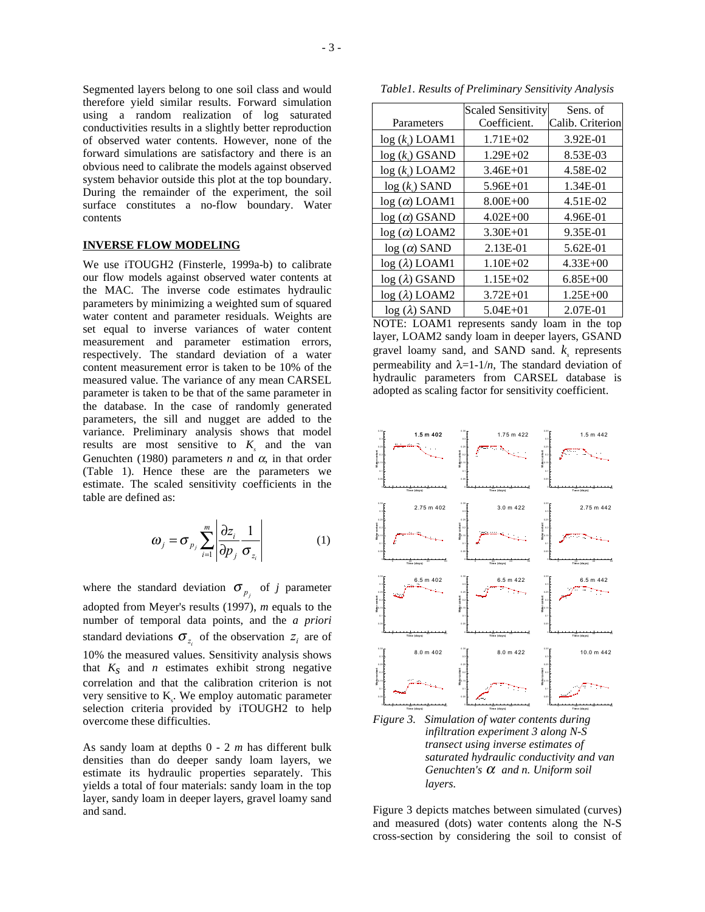Segmented layers belong to one soil class and would therefore yield similar results. Forward simulation using a random realization of log saturated conductivities results in a slightly better reproduction of observed water contents. However, none of the forward simulations are satisfactory and there is an obvious need to calibrate the models against observed system behavior outside this plot at the top boundary. During the remainder of the experiment, the soil surface constitutes a no-flow boundary. Water contents

#### **INVERSE FLOW MODELING**

We use iTOUGH2 (Finsterle, 1999a-b) to calibrate our flow models against observed water contents at the MAC. The inverse code estimates hydraulic parameters by minimizing a weighted sum of squared water content and parameter residuals. Weights are set equal to inverse variances of water content measurement and parameter estimation errors, respectively. The standard deviation of a water content measurement error is taken to be 10% of the measured value. The variance of any mean CARSEL parameter is taken to be that of the same parameter in the database. In the case of randomly generated parameters, the sill and nugget are added to the variance. Preliminary analysis shows that model results are most sensitive to  $K<sub>s</sub>$  and the van Genuchten (1980) parameters  $n$  and  $\alpha$ , in that order (Table 1). Hence these are the parameters we estimate. The scaled sensitivity coefficients in the table are defined as:

$$
\omega_j = \sigma_{p_j} \sum_{i=1}^m \left| \frac{\partial z_i}{\partial p_j} \frac{1}{\sigma_{z_i}} \right| \tag{1}
$$

where the standard deviation  $\sigma_{p_i}$  of *j* parameter adopted from Meyer's results (1997), *m* equals to the number of temporal data points, and the *a priori* standard deviations  $\sigma_{z_i}$  of the observation  $z_i$  are of 10% the measured values. Sensitivity analysis shows that  $K<sub>S</sub>$  and *n* estimates exhibit strong negative correlation and that the calibration criterion is not very sensitive to  $K_s$ . We employ automatic parameter selection criteria provided by iTOUGH2 to help overcome these difficulties.

As sandy loam at depths 0 - 2 *m* has different bulk densities than do deeper sandy loam layers, we estimate its hydraulic properties separately. This yields a total of four materials: sandy loam in the top layer, sandy loam in deeper layers, gravel loamy sand and sand.

*Table1. Results of Preliminary Sensitivity Analysis* 

|                       | <b>Scaled Sensitivity</b> | Sens. of         |  |
|-----------------------|---------------------------|------------------|--|
| Parameters            | Coefficient.              | Calib. Criterion |  |
| $log (k)$ LOAM1       | $1.71E + 02$              | 3.92E-01         |  |
| $log (k)$ GSAND       | $1.29E + 02$              | 8.53E-03         |  |
| $log (k_s)$ LOAM2     | $3.46E + 01$              | 4.58E-02         |  |
| $log (k_s)$ SAND      | $5.96E + 01$              | 1.34E-01         |  |
| $log(\alpha)$ LOAM1   | $8.00E + 00$              | 4.51E-02         |  |
| $log(\alpha)$ GSAND   | $4.02E + 00$              | 4.96E-01         |  |
| $log(\alpha)$ LOAM2   | $3.30E + 01$              | 9.35E-01         |  |
| $log(\alpha)$ SAND    | 2.13E-01                  | 5.62E-01         |  |
| $log (\lambda)$ LOAM1 | $1.10E + 02$              | $4.33E + 00$     |  |
| $log (\lambda)$ GSAND | $1.15E + 02$              | $6.85E + 00$     |  |
| $log(\lambda)$ LOAM2  | $3.72E + 01$              | $1.25E + 00$     |  |
| $log(\lambda)$ SAND   | $5.04E + 01$              | 2.07E-01         |  |

NOTE: LOAM1 represents sandy loam in the top layer, LOAM2 sandy loam in deeper layers, GSAND gravel loamy sand, and SAND sand.  $k_s$  represents permeability and  $\lambda=1-1/n$ , The standard deviation of hydraulic parameters from CARSEL database is adopted as scaling factor for sensitivity coefficient.



Figure 3 depicts matches between simulated (curves) and measured (dots) water contents along the N-S cross-section by considering the soil to consist of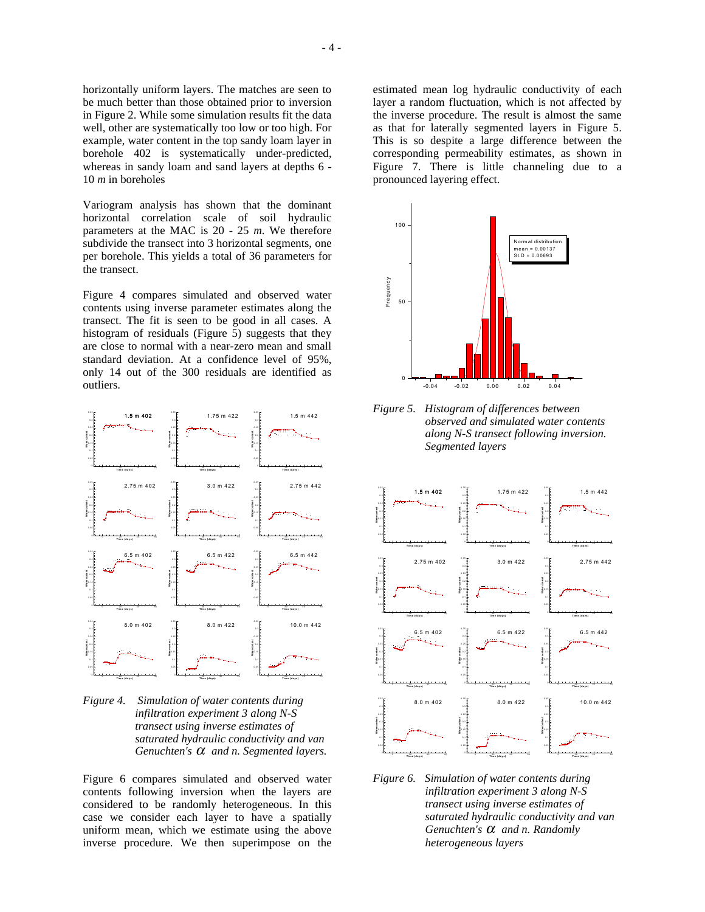horizontally uniform layers. The matches are seen to be much better than those obtained prior to inversion in Figure 2. While some simulation results fit the data well, other are systematically too low or too high. For example, water content in the top sandy loam layer in borehole 402 is systematically under-predicted, whereas in sandy loam and sand layers at depths 6 - 10 *m* in boreholes

Variogram analysis has shown that the dominant horizontal correlation scale of soil hydraulic parameters at the MAC is 20 - 25 *m*. We therefore subdivide the transect into 3 horizontal segments, one per borehole. This yields a total of 36 parameters for the transect.

Figure 4 compares simulated and observed water contents using inverse parameter estimates along the transect. The fit is seen to be good in all cases. A histogram of residuals (Figure 5) suggests that they are close to normal with a near-zero mean and small standard deviation. At a confidence level of 95%, only 14 out of the 300 residuals are identified as outliers.



*Figure 4. Simulation of water contents during infiltration experiment 3 along N-S transect using inverse estimates of saturated hydraulic conductivity and van Genuchten's* α *and n. Segmented layers.* 

Figure 6 compares simulated and observed water contents following inversion when the layers are considered to be randomly heterogeneous. In this case we consider each layer to have a spatially uniform mean, which we estimate using the above inverse procedure. We then superimpose on the

estimated mean log hydraulic conductivity of each layer a random fluctuation, which is not affected by the inverse procedure. The result is almost the same as that for laterally segmented layers in Figure 5. This is so despite a large difference between the corresponding permeability estimates, as shown in Figure 7. There is little channeling due to a pronounced layering effect.



*Figure 5. Histogram of differences between observed and simulated water contents along N-S transect following inversion. Segmented layers* 



*Figure 6. Simulation of water contents during infiltration experiment 3 along N-S transect using inverse estimates of saturated hydraulic conductivity and van Genuchten's* α *and n. Randomly heterogeneous layers*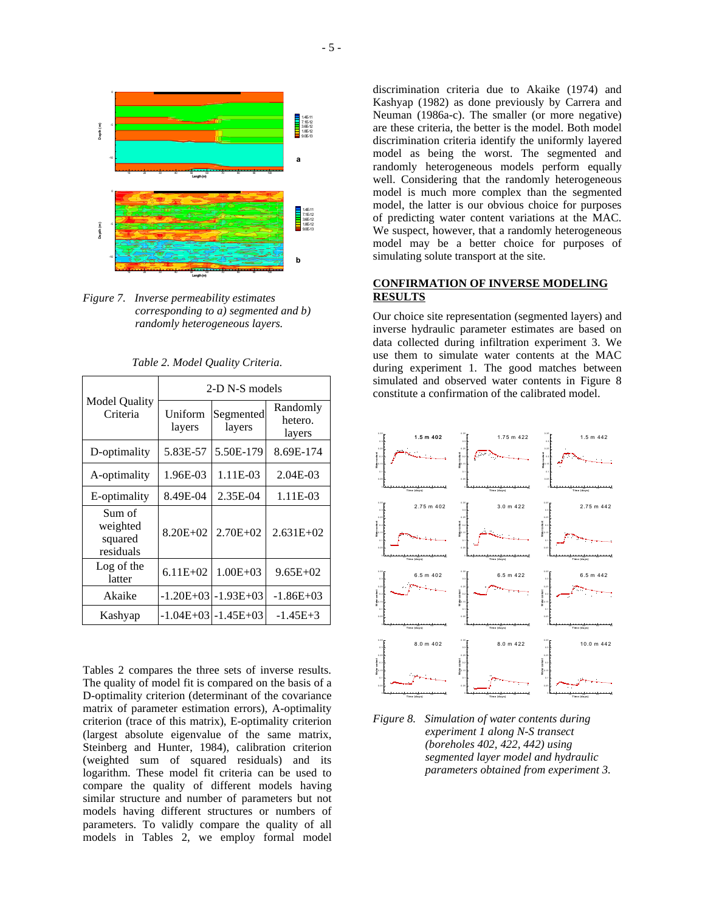

*Figure 7. Inverse permeability estimates corresponding to a) segmented and b) randomly heterogeneous layers.* 

| <b>Model Quality</b><br>Criteria           | 2-D N-S models    |                         |                               |  |
|--------------------------------------------|-------------------|-------------------------|-------------------------------|--|
|                                            | Uniform<br>layers | Segmented<br>layers     | Randomly<br>hetero.<br>layers |  |
| D-optimality                               | 5.83E-57          | 5.50E-179               | 8.69E-174                     |  |
| A-optimality                               | 1.96E-03          | 1.11E-03                | 2.04E-03                      |  |
| E-optimality                               | 8.49E-04          | 2.35E-04                | 1.11E-03                      |  |
| Sum of<br>weighted<br>squared<br>residuals | $8.20E + 02$      | $2.70E + 02$            | $2.631E+02$                   |  |
| Log of the<br>latter                       | $6.11E + 02$      | $1.00E + 03$            | $9.65E+02$                    |  |
| Akaike                                     |                   | $-1.20E+03$ $-1.93E+03$ | $-1.86E+03$                   |  |
| Kashyap                                    |                   | $-1.04E+03$ $-1.45E+03$ | $-1.45E+3$                    |  |

*Table 2. Model Quality Criteria.* 

Tables 2 compares the three sets of inverse results. The quality of model fit is compared on the basis of a D-optimality criterion (determinant of the covariance matrix of parameter estimation errors), A-optimality criterion (trace of this matrix), E-optimality criterion (largest absolute eigenvalue of the same matrix, Steinberg and Hunter, 1984), calibration criterion (weighted sum of squared residuals) and its logarithm. These model fit criteria can be used to compare the quality of different models having similar structure and number of parameters but not models having different structures or numbers of parameters. To validly compare the quality of all models in Tables 2, we employ formal model

discrimination criteria due to Akaike (1974) and Kashyap (1982) as done previously by Carrera and Neuman (1986a-c). The smaller (or more negative) are these criteria, the better is the model. Both model discrimination criteria identify the uniformly layered model as being the worst. The segmented and randomly heterogeneous models perform equally well. Considering that the randomly heterogeneous model is much more complex than the segmented model, the latter is our obvious choice for purposes of predicting water content variations at the MAC. We suspect, however, that a randomly heterogeneous model may be a better choice for purposes of simulating solute transport at the site.

### **CONFIRMATION OF INVERSE MODELING RESULTS**

Our choice site representation (segmented layers) and inverse hydraulic parameter estimates are based on data collected during infiltration experiment 3. We use them to simulate water contents at the MAC during experiment 1. The good matches between simulated and observed water contents in Figure 8 constitute a confirmation of the calibrated model.



*Figure 8. Simulation of water contents during experiment 1 along N-S transect (boreholes 402, 422, 442) using segmented layer model and hydraulic parameters obtained from experiment 3.*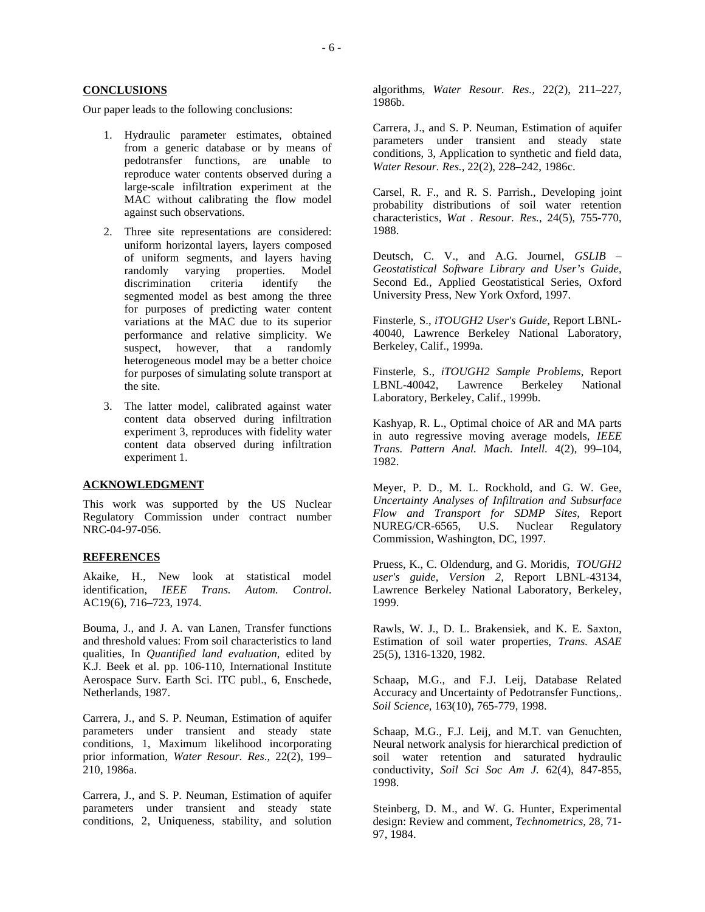### **CONCLUSIONS**

Our paper leads to the following conclusions:

- 1. Hydraulic parameter estimates, obtained from a generic database or by means of pedotransfer functions, are unable to reproduce water contents observed during a large-scale infiltration experiment at the MAC without calibrating the flow model against such observations.
- 2. Three site representations are considered: uniform horizontal layers, layers composed of uniform segments, and layers having randomly varying properties. Model discrimination criteria identify the segmented model as best among the three for purposes of predicting water content variations at the MAC due to its superior performance and relative simplicity. We suspect, however, that a randomly however, that a randomly heterogeneous model may be a better choice for purposes of simulating solute transport at the site.
- 3. The latter model, calibrated against water content data observed during infiltration experiment 3, reproduces with fidelity water content data observed during infiltration experiment 1.

#### **ACKNOWLEDGMENT**

This work was supported by the US Nuclear Regulatory Commission under contract number NRC-04-97-056.

### **REFERENCES**

Akaike, H., New look at statistical model identification, *IEEE Trans. Autom. Control*. AC19(6), 716–723, 1974.

Bouma, J., and J. A. van Lanen, Transfer functions and threshold values: From soil characteristics to land qualities, In *Quantified land evaluation*, edited by K.J. Beek et al. pp. 106-110, International Institute Aerospace Surv. Earth Sci. ITC publ., 6, Enschede, Netherlands, 1987.

Carrera, J., and S. P. Neuman, Estimation of aquifer parameters under transient and steady state conditions, 1, Maximum likelihood incorporating prior information, *Water Resour. Res*., 22(2), 199– 210, 1986a.

Carrera, J., and S. P. Neuman, Estimation of aquifer parameters under transient and steady state conditions, 2, Uniqueness, stability, and solution algorithms, *Water Resour. Res.*, 22(2), 211–227, 1986b.

Carrera, J., and S. P. Neuman, Estimation of aquifer parameters under transient and steady state conditions, 3, Application to synthetic and field data, *Water Resour. Res.,* 22(2), 228–242, 1986c.

Carsel, R. F., and R. S. Parrish., Developing joint probability distributions of soil water retention characteristics, *Wat . Resour. Res.*, 24(5), 755-770, 1988.

Deutsch, C. V., and A.G. Journel, *GSLIB – Geostatistical Software Library and User's Guide,*  Second Ed., Applied Geostatistical Series, Oxford University Press, New York Oxford, 1997.

Finsterle, S., *iTOUGH2 User's Guide*, Report LBNL-40040, Lawrence Berkeley National Laboratory, Berkeley, Calif., 1999a.

Finsterle, S., *iTOUGH2 Sample Problems*, Report LBNL-40042, Lawrence Berkeley National Laboratory, Berkeley, Calif., 1999b.

Kashyap, R. L., Optimal choice of AR and MA parts in auto regressive moving average models, *IEEE Trans. Pattern Anal. Mach. Intell*. 4(2), 99–104, 1982.

Meyer, P. D., M. L. Rockhold, and G. W. Gee, *Uncertainty Analyses of Infiltration and Subsurface Flow and Transport for SDMP Sites,* Report NUREG/CR-6565, U.S. Nuclear Regulatory Commission, Washington, DC, 1997.

Pruess, K., C. Oldendurg, and G. Moridis, *TOUGH2 user's guide, Version 2,* Report LBNL-43134, Lawrence Berkeley National Laboratory, Berkeley, 1999.

Rawls, W. J., D. L. Brakensiek, and K. E. Saxton, Estimation of soil water properties, *Trans. ASAE* 25(5), 1316-1320, 1982.

Schaap, M.G., and F.J. Leij, Database Related Accuracy and Uncertainty of Pedotransfer Functions,. *Soil Science*, 163(10), 765-779, 1998.

Schaap, M.G., F.J. Leij, and M.T. van Genuchten, Neural network analysis for hierarchical prediction of soil water retention and saturated hydraulic conductivity, *Soil Sci Soc Am J.* 62(4), 847-855, 1998.

Steinberg, D. M., and W. G. Hunter, Experimental design: Review and comment, *Technometrics*, 28, 71- 97, 1984.